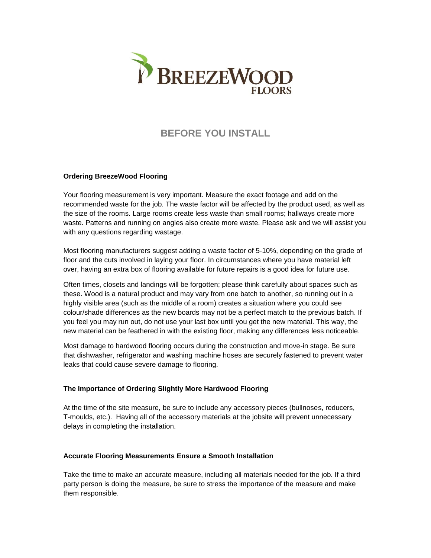

# **BEFORE YOU INSTALL**

# **Ordering BreezeWood Flooring**

Your flooring measurement is very important. Measure the exact footage and add on the recommended waste for the job. The waste factor will be affected by the product used, as well as the size of the rooms. Large rooms create less waste than small rooms; hallways create more waste. Patterns and running on angles also create more waste. Please ask and we will assist you with any questions regarding wastage.

Most flooring manufacturers suggest adding a waste factor of 5-10%, depending on the grade of floor and the cuts involved in laying your floor. In circumstances where you have material left over, having an extra box of flooring available for future repairs is a good idea for future use.

Often times, closets and landings will be forgotten; please think carefully about spaces such as these. Wood is a natural product and may vary from one batch to another, so running out in a highly visible area (such as the middle of a room) creates a situation where you could see colour/shade differences as the new boards may not be a perfect match to the previous batch. If you feel you may run out, do not use your last box until you get the new material. This way, the new material can be feathered in with the existing floor, making any differences less noticeable.

Most damage to hardwood flooring occurs during the construction and move-in stage. Be sure that dishwasher, refrigerator and washing machine hoses are securely fastened to prevent water leaks that could cause severe damage to flooring.

#### **The Importance of Ordering Slightly More Hardwood Flooring**

At the time of the site measure, be sure to include any accessory pieces (bullnoses, reducers, T-moulds, etc.). Having all of the accessory materials at the jobsite will prevent unnecessary delays in completing the installation.

#### **Accurate Flooring Measurements Ensure a Smooth Installation**

Take the time to make an accurate measure, including all materials needed for the job. If a third party person is doing the measure, be sure to stress the importance of the measure and make them responsible.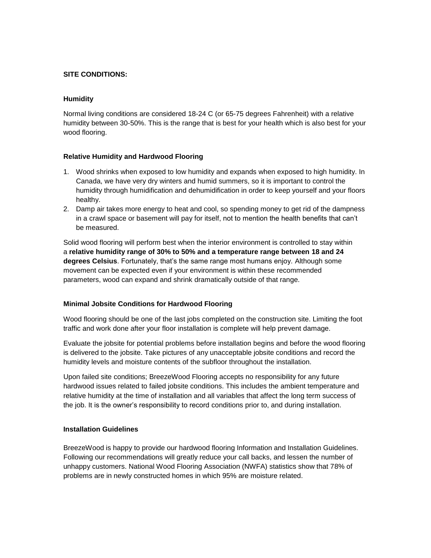## **SITE CONDITIONS:**

## **Humidity**

Normal living conditions are considered 18-24 C (or 65-75 degrees Fahrenheit) with a relative humidity between 30-50%. This is the range that is best for your health which is also best for your wood flooring.

## **Relative Humidity and Hardwood Flooring**

- 1. Wood shrinks when exposed to low humidity and expands when exposed to high humidity. In Canada, we have very dry winters and humid summers, so it is important to control the humidity through humidification and dehumidification in order to keep yourself and your floors healthy.
- 2. Damp air takes more energy to heat and cool, so spending money to get rid of the dampness in a crawl space or basement will pay for itself, not to mention the health benefits that can't be measured.

Solid wood flooring will perform best when the interior environment is controlled to stay within a **relative humidity range of 30% to 50% and a temperature range between 18 and 24 degrees Celsius**. Fortunately, that's the same range most humans enjoy. Although some movement can be expected even if your environment is within these recommended parameters, wood can expand and shrink dramatically outside of that range.

#### **Minimal Jobsite Conditions for Hardwood Flooring**

Wood flooring should be one of the last jobs completed on the construction site. Limiting the foot traffic and work done after your floor installation is complete will help prevent damage.

Evaluate the jobsite for potential problems before installation begins and before the wood flooring is delivered to the jobsite. Take pictures of any unacceptable jobsite conditions and record the humidity levels and moisture contents of the subfloor throughout the installation.

Upon failed site conditions; BreezeWood Flooring accepts no responsibility for any future hardwood issues related to failed jobsite conditions. This includes the ambient temperature and relative humidity at the time of installation and all variables that affect the long term success of the job. It is the owner's responsibility to record conditions prior to, and during installation.

#### **Installation Guidelines**

BreezeWood is happy to provide our hardwood flooring Information and Installation Guidelines. Following our recommendations will greatly reduce your call backs, and lessen the number of unhappy customers. National Wood Flooring Association (NWFA) statistics show that 78% of problems are in newly constructed homes in which 95% are moisture related.